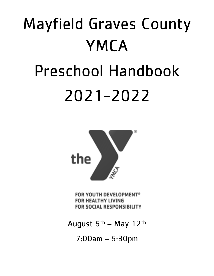# Mayfield Graves County YMCA Preschool Handbook 2021-2022



**FOR YOUTH DEVELOPMENT® FOR HEALTHY LIVING FOR SOCIAL RESPONSIBILITY** 

August  $5<sup>th</sup>$  – May 12<sup>th</sup>

7:00am – 5:30pm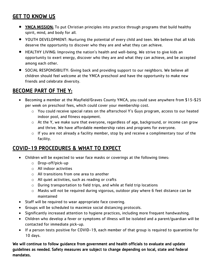#### GET TO KNOW US

- YMCA MISSION: To put Christian principles into practice through programs that build healthy spirit, mind, and body for all.
- YOUTH DEVELOPMENT: Nurturing the potential of every child and teen. We believe that all kids deserve the opportunity to discover who they are and what they can achieve.
- HEALTHY LIVING: Improving the nation's health and well-being. We strive to give kids an opportunity to exert energy, discover who they are and what they can achieve, and be accepted among each other.
- SOCIAL RESPONSIBILITY: Giving back and providing support to our neighbors. We believe all children should feel welcome at the YMCA preschool and have the opportunity to make new friends and celebrate diversity.

#### BECOME PART OF THE Y:

- Becoming a member at the Mayfield/Graves County YMCA, you could save anywhere from \$15-\$25 per week on preschool fees, which could cover your membership cost.
	- o You could receive special rates on the afterschool Y's Guys program, access to our heated indoor pool, and fitness equipment.
	- o At the Y, we make sure that everyone, regardless of age, background, or income can grow and thrive. We have affordable membership rates and programs for everyone.
	- $\circ$  If you are not already a facility member, stop by and receive a complimentary tour of the facility.

#### COVID-19 PROCEDURES & WHAT TO EXPECT

- Children will be expected to wear face masks or coverings at the following times:
	- o Drop-off/pick-up
	- o All indoor activities
	- o All transitions from one area to another
	- o All quiet activities, such as reading or crafts
	- o During transportation to field trips, and while at field trip locations
	- o Masks will not be required during vigorous, outdoor play where 6 feet distance can be maintained
- Staff will be required to wear appropriate face covering.
- Groups will be scheduled to maximize social distancing protocols.
- Significantly increased attention to hygiene practices, including more frequent handwashing.
- Children who develop a fever or symptoms of illness will be isolated and a parent/guardian will be contacted for immediate pick-up.
- If a person tests positive for COVID-19, each member of that group is required to quarantine for 10 days.

We will continue to follow guidance from government and health officials to evaluate and update guidelines as needed. Safety measures are subject to change depending on local, state and federal mandates.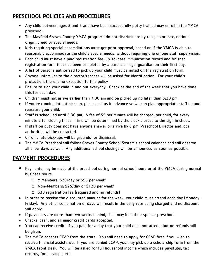# PRESCHOOL POLICIES AND PROCEDURES

- Any child between ages 3 and 5 and have been successfully potty trained may enroll in the YMCA preschool.
- The Mayfield Graves County YMCA programs do not discriminate by race, color, sex, national origin, creed or special needs.
- Kids requiring special accomdiations must get prior approval, based on if the YMCA is able to reasonably accommodate the child's special needs, without requiring one on one staff supervision.
- Each child must have a paid registration fee, up-to-date immunization record and finished registration form that has been completed by a parent or legal guardian on their first day.
- A list of persons authorized to pick up your child must be noted on the registration form.
- Anyone unfamiliar to the director/teacher will be asked for identification. For your child's protection, there is no exception to this policy
- Ensure to sign your child in and out everyday. Check at the end of the week that you have done this for each day.
- Children must not arrive earlier than 7:00 am and be picked up no later than 5:30 pm.
- If you're running late at pick-up, please call us in advance so we can plan appropriate staffing and reassure your child.
- Staff is scheduled until 5:30 pm. A fee of \$5 per minute will be charged, per child, for every minute after closing times. Time will be determined by the clock closest to the sign in sheet.
- If staff on duty does not have anyone answer or arrive by 6 pm, Preschool Director and local authorities will be contacted.
- Chronic late pick-ups will be grounds for dismissal.
- The YMCA Preschool will follow Graves County School System's school calendar and will observe all snow days as well. Any additional school closings will be announced as soon as possible.

# PAYMENT PROCEDURES

- Payments may be made at the preschool during normal school hours or at the YMCA during normal business hours.
	- o Y Members: \$20/day or \$95 per week\*
	- o Non-Members: \$25/day or \$120 per week\*
	- o \$30 registration fee (required and no refunds)
- In order to receive the discounted amount for the week, your child must attend each day (Monday-Friday). Any other combination of days will result in the daily rate being charged and no discount will apply.
- If payments are more than two weeks behind, child may lose their spot at preschool.
- Checks, cash, and all major credit cards accepted.
- You can receive credits if you paid for a day that your child does not attend, but no refunds will be given.
- The YMCA accepts CCAP from the state. You will need to apply for CCAP first if you wish to receive financial assistance. If you are denied CCAP, you may pick up a scholarship form from the YMCA Front Desk. You will be asked for full household income which includes paystubs, tax returns, food stamps, etc.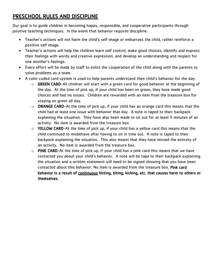# PRESCHOOL RULES AND DISCIPLINE

Our goal is to guide children in becoming happy, responsible, and cooperative participants through positive teaching techniques. In the event that behavior requires discipline:

- Teacher's actions will not harm the child's self image or embarrass the child, rather reinforce a positive self image.
- Teacher's actions will help the children learn self control, make good choices, identify and express their feelings with words and creative expression, and develop an understanding and respect for one another's feelings.
- Every effort will be made by staff to enlist the cooperation of the child along with the parents to solve problems as a team.
- A color coded card system is used to help parents understand their child's behavior for the day.
	- $\circ$  GREEN CARD-All children will start with a green card for good behavior at the beginning of the day. At the time of pick up, if your child has been on green, they have made good choices and had no issues. Children are rewarded with an item from the treasure box for staying on green all day.
	- $\circ$  ORANGE CARD-At the time of pick up, if your child has an orange card this means that the child had at least one issue with behavior that day. A note is taped to their backpack explaining the situation. They have also been made to sit out for at least 5 minutes of an activity. No item is awarded from the treasure box.
	- $\circ$  YELLOW CARD-At the time of pick up, if your child has a yellow card this means that the child continued to misbehave after having to sit in time out. A note is taped to their backpack explaining the situation. This also means that they have missed the entirety of an activity. No item is awarded from the treasure box.
	- $\circ$  PINK CARD-At the time of pick up, if your child has a pink card this means that we have contacted you about your child's behavior. A note will be tape to their backpack explaining the situation and a written statement will need to be signed showing that you have been contacted about this behavior. No item is awarded from the treasure box. Pink card behavior is a result of continuous hitting, biting, kicking, etc. that causes harm to others or themselves.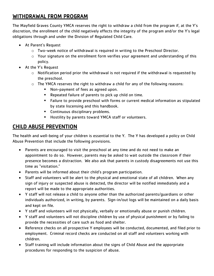# WITHDRAWAL FROM PROGRAM

The Mayfield Graves County YMCA reserves the right to withdraw a child from the program if, at the Y's discretion, the enrollment of the child negatively effects the integrity of the program and/or the Y's legal obligations through and under the Division of Regulated Child Care.

- At Parent's Request
	- $\circ$  Two-week notice of withdrawal is required in writing to the Preschool Director.
	- $\circ$  Your signature on the enrollment form verifies your agreement and understanding of this policy.
- At the Y's Request
	- o Notification period prior the withdrawal is not required if the withdrawal is requested by the preschool.
	- $\circ$  The YMCA reserves the right to withdraw a child for any of the following reasons:
		- Non-payment of fees as agreed upon.
		- Repeated failure of parents to pick up child on time.
		- Failure to provide preschool with forms or current medical information as stipulated by state liscensing and this handbook.
		- Continuous disciplinary problems.
		- Hostility by parents toward YMCA staff or volunteers.

#### CHILD ABUSE PREVENTION

The health and well-being of your children is essential to the Y. The Y has developed a policy on Child Abuse Prevention that include the following provisions.

- Parents are encouraged to visit the preschool at any time and do not need to make an appointment to do so. However, parents may be asked to wait outside the classroom if their presence becomes a distraction. We also ask that parents in custody disagreements not use this time as "visitation."
- Parents will be informed about their child's program participation.
- Staff and volunteers will be alert to the physical and emotional state of all children. When any sign of injury or suspected abuse is detected, the director will be notified immediately and a report will be made to the appropriate authorities.
- Y staff will not release a child to anyone other than the authorized parents/guardians or other individuals authorized, in writing, by parents. Sign-in/out logs will be maintained on a daily basis and kept on file.
- Y staff and volunteers will not physically, verbally or emotionally abuse or punish children.
- Y staff and volunteers will not discipline children by use of physical punishment or by failing to provide the necessities of care such as food and shelter.
- Reference checks on all prospective Y employees will be conducted, documented, and filed prior to employment. Criminal record checks are conducted on all staff and volunteers working with children.
- Staff training will include information about the signs of Child Abuse and the apporpriate procedures for responding to the suspicion of abuse.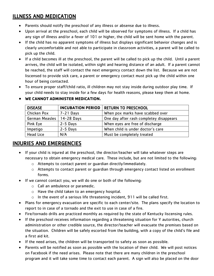# ILLNESS AND MEDICATION

- Parents should notify the preschool of any illness or absense due to illness.
- Upon arrival at the preschool, each child will be observed for symptoms of illness. If a child has any sign of illness and/or a fever of 101 or higher, the child will be sent home with the parent.
- If the child has no apparent symptoms of illness but displays significant behavior changes and is clearly uncomfortable and not able to participate in classroom activities, a parent will be called to pick up the child.
- If a child becomes ill at the preschool, the parent will be called to pick up the child. Until a parent arrives, the child will be isolated, within sight and hearing distance of an adult. If a parent cannot be reached, the staff will contact the next emergency contact down the list. Because we are not liscensed to provide sick care, a parent or emergency contact must pick up the child within one hour of being contacted.
- To ensure proper staff/child ratio, ill children may not stay inside during outdoor play time. If your child needs to stay inside for a few days for health reasons, please keep them at home.

| <b>DISEASE</b>   | <b>INCUBATION PERIOD</b> | <b>RETURN TO PRESCHOOL</b>              |
|------------------|--------------------------|-----------------------------------------|
| Chicken Pox      | $7 - 21$ Days            | When pox marks have scabbed over        |
| German Measles   | 14-28 Days               | One day after rash completey disappears |
| Pink Eye         | $2-5$ Days               | When eyes are free of discharge         |
| Impetigo         | $2-5$ Days               | When child is under doctor's care       |
| <b>Head Lice</b> | N/A                      | Must be completely treated              |

#### • **WE CANNOT ADMINISTER MEDICATION.**

# INJURIES AND EMERGENCIES

- If your child is injured at the preschool, the director/teacher will take whatever steps are necessary to obtain emergency medical care. These include, but are not limited to the following:
	- o Attempts to contact parent or guardian directly/immediately.
	- o Attempts to contact parent or guardian through emergency contact listed on enrollment forms.
- If we cannot contact you, we will do one or both of the following:
	- o Call an ambulence or paramedic.
	- o Have the child taken to an emergency hospital.
	- o In the event of a serious life threatening incident, 911 will be called first.
- Plans for emergency evacuation are specific to each center/site. The plans specify the location to report to in case of a tornado and the exit to use in case of a fire.
- Fire/tornado drills are practiced monthly as required by the state of Kentucky liscensing rules.
- If the preschool receives information regarding a threatening situation for Y autorities, church administration or other credible source, the director/teacher will evacuate the premises based on the situation. Children will be safely escorted from the building, with a copy of the child's file and a first aid kit.
- If the need arises, the children will be transported to safety as soon as possible.
- Parents will be notified as soon as possible with the location of their child. We will post notices on Facebook if the need arises. Please note that there are many children in the preschool program and it will take some time to contact each parent. A sign will also be placed on the door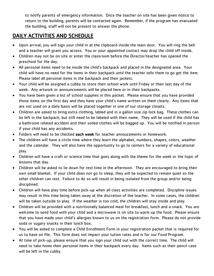to notify parents of emergency information. Once the teacher on site has been given notice to return to the building, parents will be contacted again. Remember, if the program has evacuated the building, staff will not be present to answer the phone.

#### DAILY ACTIVITIES AND SCHEDULE

- Upon arrival, you will sign your child in at the clipboard inside the main door. You will ring the bell and a teacher will grant you access. You or your appointed contact may drop the child off inside.
- Children may not be on site or enter the classroom before the Director/teacher has opened the preschool for the day.
- All personal items need to be inside the child's backpack and placed in the designated area. Your child will have no need for the items in their backpack until the teacher tells them to go get the item. Please label all personal items in the backpack and their jackets.
- Your child will be assigned a cubby to store their school work until Friday or their last day of the week. Any artwork or announcements will be placed here or in their backpacks.
- You have been given a list of school supplies in this packet. Please ensure that you have provided those items on the first day and they have your child's name written on them clearly. Any items that are not used on a daily basis will be placed together in one of our storage closets.
- Children are asked to bring extra clothing, labled and in a gallon size zip lock bag. These clothes can be left in the backpack, but still need to be labeled with their name. They will be used if the child has a bathroom related accident and their soiled clothes will be bagged up. You will be notified in person if your child has any accidents.
- Folders will need to be checked each week for teacher annoucements or homework.
- The children will have a circle time where they learn the alphabet, numbers, shapes, colors, weather and the calendar. They will also have the opportunity to go to centers for a variety of educational play.
- Children will have a craft or science time that goes along with the theme for the week or the topic of lessons that day.
- Children will be asked to lie down for rest time in the afternoon. They are encouraged to bring their own small blanket. If your child does not go to sleep, they will be expected to remain quiet so the other children can rest. Failure to do so will result in being isolated from the group and/or being disciplined.
- Children will have play time before pick-up when all class activities are completed. Discipline issues may result in this time being taken away at the discretion of the teacher. In some cases, the children will be taken outside to play. If the weather is too cold, the children will stay inside and play.
- Children will be provided with a nutritionally balanced meal for breakfast, lunch and a snack. You are welcome to send food with your child and a microwave is on site to warm up the food. Please ensure that you have made your child's allergies known to us on the registration form. Please do not provide soda or sugary snacks in their lunch box.
- You will be asked to complete a Child Enrollment Form in your registration packet that is required for us to have on file. This form does not impact your tution rates and is for our Food Program.
- At time of pick-up, please ensure that you sign your child out with the correct time. The child will need to take home their personal items in their backpack every day. Items such as their pencil case will be left in the cubby.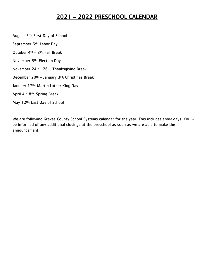# 2021 – 2022 PRESCHOOL CALENDAR

- August 5th: First Day of School
- September 6<sup>th</sup>: Labor Day
- October 4th 8th: Fall Break
- November 5th: Election Day
- November 24th 26th: Thanksgiving Break
- December 20th January 3rd: Christmas Break
- January 17<sup>th</sup>: Martin Luther King Day
- April 4th-8th: Spring Break
- May 12th: Last Day of School

We are following Graves County School Systems calendar for the year. This includes snow days. You will be informed of any additional closings at the preschool as soon as we are able to make the announcement.